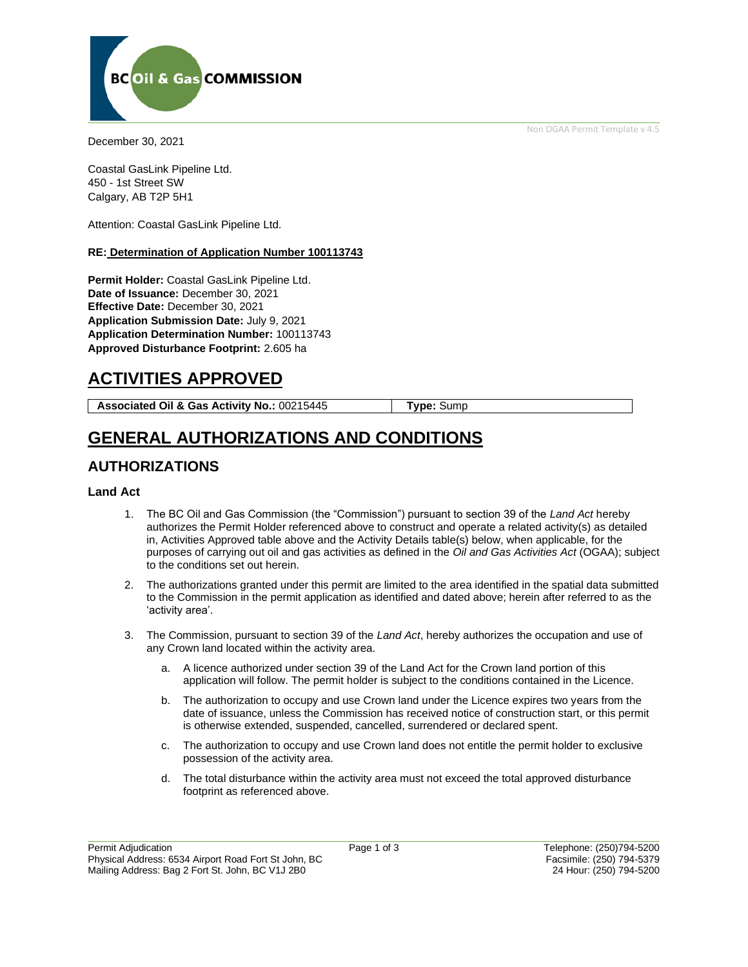Non OGAA Permit Template v 4.5



December 30, 2021

Coastal GasLink Pipeline Ltd. 450 - 1st Street SW Calgary, AB T2P 5H1

Attention: Coastal GasLink Pipeline Ltd.

#### **RE: Determination of Application Number 100113743**

**Permit Holder:** Coastal GasLink Pipeline Ltd. **Date of Issuance:** December 30, 2021 **Effective Date:** December 30, 2021 **Application Submission Date:** July 9, 2021 **Application Determination Number:** 100113743 **Approved Disturbance Footprint:** 2.605 ha

# **ACTIVITIES APPROVED**

**Associated Oil & Gas Activity No.:** 00215445 **Type:** Sump

# **GENERAL AUTHORIZATIONS AND CONDITIONS**

### **AUTHORIZATIONS**

#### **Land Act**

- 1. The BC Oil and Gas Commission (the "Commission") pursuant to section 39 of the *Land Act* hereby authorizes the Permit Holder referenced above to construct and operate a related activity(s) as detailed in, Activities Approved table above and the Activity Details table(s) below, when applicable, for the purposes of carrying out oil and gas activities as defined in the *Oil and Gas Activities Act* (OGAA); subject to the conditions set out herein.
- 2. The authorizations granted under this permit are limited to the area identified in the spatial data submitted to the Commission in the permit application as identified and dated above; herein after referred to as the 'activity area'.
- 3. The Commission, pursuant to section 39 of the *Land Act*, hereby authorizes the occupation and use of any Crown land located within the activity area.
	- a. A licence authorized under section 39 of the Land Act for the Crown land portion of this application will follow. The permit holder is subject to the conditions contained in the Licence.
	- b. The authorization to occupy and use Crown land under the Licence expires two years from the date of issuance, unless the Commission has received notice of construction start, or this permit is otherwise extended, suspended, cancelled, surrendered or declared spent.
	- c. The authorization to occupy and use Crown land does not entitle the permit holder to exclusive possession of the activity area.
	- d. The total disturbance within the activity area must not exceed the total approved disturbance footprint as referenced above.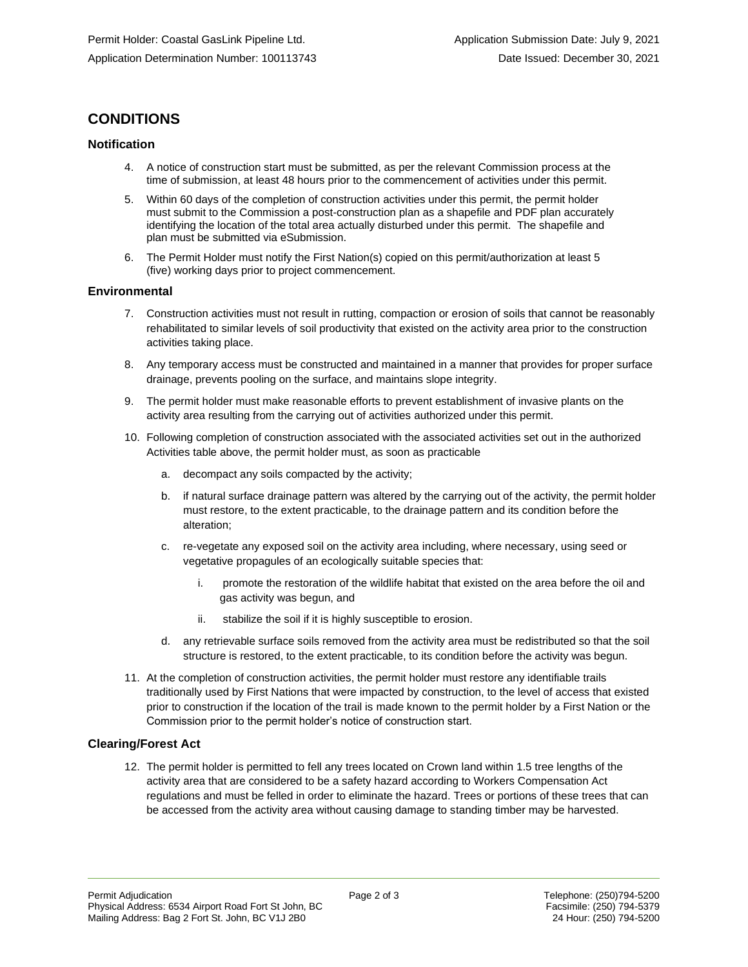### **CONDITIONS**

#### **Notification**

- 4. A notice of construction start must be submitted, as per the relevant Commission process at the time of submission, at least 48 hours prior to the commencement of activities under this permit.
- 5. Within 60 days of the completion of construction activities under this permit, the permit holder must submit to the Commission a post-construction plan as a shapefile and PDF plan accurately identifying the location of the total area actually disturbed under this permit. The shapefile and plan must be submitted via eSubmission.
- 6. The Permit Holder must notify the First Nation(s) copied on this permit/authorization at least 5 (five) working days prior to project commencement.

#### **Environmental**

- 7. Construction activities must not result in rutting, compaction or erosion of soils that cannot be reasonably rehabilitated to similar levels of soil productivity that existed on the activity area prior to the construction activities taking place.
- 8. Any temporary access must be constructed and maintained in a manner that provides for proper surface drainage, prevents pooling on the surface, and maintains slope integrity.
- 9. The permit holder must make reasonable efforts to prevent establishment of invasive plants on the activity area resulting from the carrying out of activities authorized under this permit.
- 10. Following completion of construction associated with the associated activities set out in the authorized Activities table above, the permit holder must, as soon as practicable
	- a. decompact any soils compacted by the activity;
	- b. if natural surface drainage pattern was altered by the carrying out of the activity, the permit holder must restore, to the extent practicable, to the drainage pattern and its condition before the alteration;
	- c. re-vegetate any exposed soil on the activity area including, where necessary, using seed or vegetative propagules of an ecologically suitable species that:
		- i. promote the restoration of the wildlife habitat that existed on the area before the oil and gas activity was begun, and
		- ii. stabilize the soil if it is highly susceptible to erosion.
	- d. any retrievable surface soils removed from the activity area must be redistributed so that the soil structure is restored, to the extent practicable, to its condition before the activity was begun.
- 11. At the completion of construction activities, the permit holder must restore any identifiable trails traditionally used by First Nations that were impacted by construction, to the level of access that existed prior to construction if the location of the trail is made known to the permit holder by a First Nation or the Commission prior to the permit holder's notice of construction start.

#### **Clearing/Forest Act**

12. The permit holder is permitted to fell any trees located on Crown land within 1.5 tree lengths of the activity area that are considered to be a safety hazard according to Workers Compensation Act regulations and must be felled in order to eliminate the hazard. Trees or portions of these trees that can be accessed from the activity area without causing damage to standing timber may be harvested.